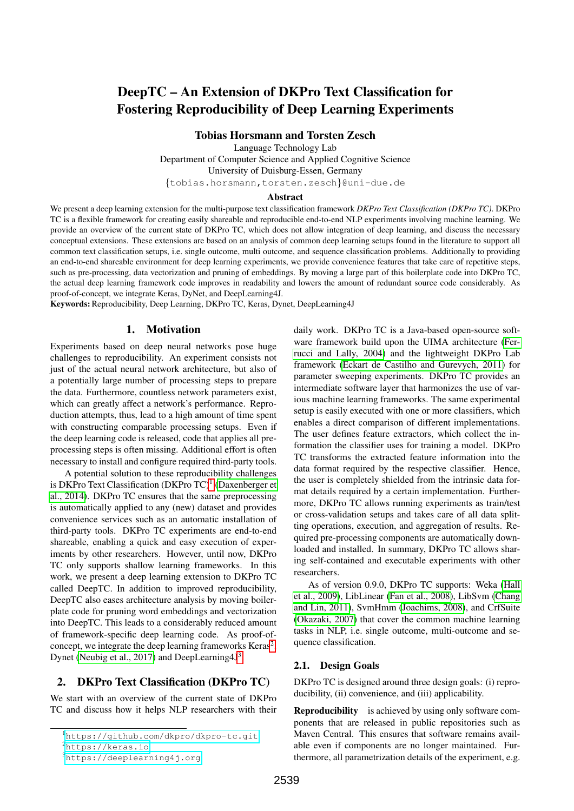# DeepTC – An Extension of DKPro Text Classification for Fostering Reproducibility of Deep Learning Experiments

Tobias Horsmann and Torsten Zesch

Language Technology Lab Department of Computer Science and Applied Cognitive Science University of Duisburg-Essen, Germany {tobias.horsmann,torsten.zesch}@uni-due.de

#### Abstract

We present a deep learning extension for the multi-purpose text classification framework *DKPro Text Classification (DKPro TC)*. DKPro TC is a flexible framework for creating easily shareable and reproducible end-to-end NLP experiments involving machine learning. We provide an overview of the current state of DKPro TC, which does not allow integration of deep learning, and discuss the necessary conceptual extensions. These extensions are based on an analysis of common deep learning setups found in the literature to support all common text classification setups, i.e. single outcome, multi outcome, and sequence classification problems. Additionally to providing an end-to-end shareable environment for deep learning experiments, we provide convenience features that take care of repetitive steps, such as pre-processing, data vectorization and pruning of embeddings. By moving a large part of this boilerplate code into DKPro TC, the actual deep learning framework code improves in readability and lowers the amount of redundant source code considerably. As proof-of-concept, we integrate Keras, DyNet, and DeepLearning4J.

Keywords: Reproducibility, Deep Learning, DKPro TC, Keras, Dynet, DeepLearning4J

### 1. Motivation

Experiments based on deep neural networks pose huge challenges to reproducibility. An experiment consists not just of the actual neural network architecture, but also of a potentially large number of processing steps to prepare the data. Furthermore, countless network parameters exist, which can greatly affect a network's performance. Reproduction attempts, thus, lead to a high amount of time spent with constructing comparable processing setups. Even if the deep learning code is released, code that applies all preprocessing steps is often missing. Additional effort is often necessary to install and configure required third-party tools.

A potential solution to these reproducibility challenges is DKPro Text Classification (DKPro TC)<sup>[1](#page-0-0)</sup> [\(Daxenberger et](#page-5-0) [al., 2014\)](#page-5-0). DKPro TC ensures that the same preprocessing is automatically applied to any (new) dataset and provides convenience services such as an automatic installation of third-party tools. DKPro TC experiments are end-to-end shareable, enabling a quick and easy execution of experiments by other researchers. However, until now, DKPro TC only supports shallow learning frameworks. In this work, we present a deep learning extension to DKPro TC called DeepTC. In addition to improved reproducibility, DeepTC also eases architecture analysis by moving boilerplate code for pruning word embeddings and vectorization into DeepTC. This leads to a considerably reduced amount of framework-specific deep learning code. As proof-ofconcept, we integrate the deep learning frameworks  $Keras^2$  $Keras^2$ , Dynet [\(Neubig et al., 2017\)](#page-6-0) and DeepLearning4J<sup>[3](#page-0-2)</sup>.

## 2. DKPro Text Classification (DKPro TC)

We start with an overview of the current state of DKPro TC and discuss how it helps NLP researchers with their

daily work. DKPro TC is a Java-based open-source software framework build upon the UIMA architecture [\(Fer](#page-6-1)[rucci and Lally, 2004\)](#page-6-1) and the lightweight DKPro Lab framework [\(Eckart de Castilho and Gurevych, 2011\)](#page-6-2) for parameter sweeping experiments. DKPro TC provides an intermediate software layer that harmonizes the use of various machine learning frameworks. The same experimental setup is easily executed with one or more classifiers, which enables a direct comparison of different implementations. The user defines feature extractors, which collect the information the classifier uses for training a model. DKPro TC transforms the extracted feature information into the data format required by the respective classifier. Hence, the user is completely shielded from the intrinsic data format details required by a certain implementation. Furthermore, DKPro TC allows running experiments as train/test or cross-validation setups and takes care of all data splitting operations, execution, and aggregation of results. Required pre-processing components are automatically downloaded and installed. In summary, DKPro TC allows sharing self-contained and executable experiments with other researchers.

As of version 0.9.0, DKPro TC supports: Weka [\(Hall](#page-6-3) [et al., 2009\)](#page-6-3), LibLinear [\(Fan et al., 2008\)](#page-6-4), LibSvm [\(Chang](#page-5-1) [and Lin, 2011\)](#page-5-1), SvmHmm [\(Joachims, 2008\)](#page-6-5), and CrfSuite [\(Okazaki, 2007\)](#page-6-6) that cover the common machine learning tasks in NLP, i.e. single outcome, multi-outcome and sequence classification.

#### 2.1. Design Goals

DKPro TC is designed around three design goals: (i) reproducibility, (ii) convenience, and (iii) applicability.

Reproducibility is achieved by using only software components that are released in public repositories such as Maven Central. This ensures that software remains available even if components are no longer maintained. Furthermore, all parametrization details of the experiment, e.g.

<span id="page-0-0"></span><sup>1</sup><https://github.com/dkpro/dkpro-tc.git>

<span id="page-0-1"></span><sup>2</sup><https://keras.io>

<span id="page-0-2"></span> $3$ <https://deeplearning4j.org>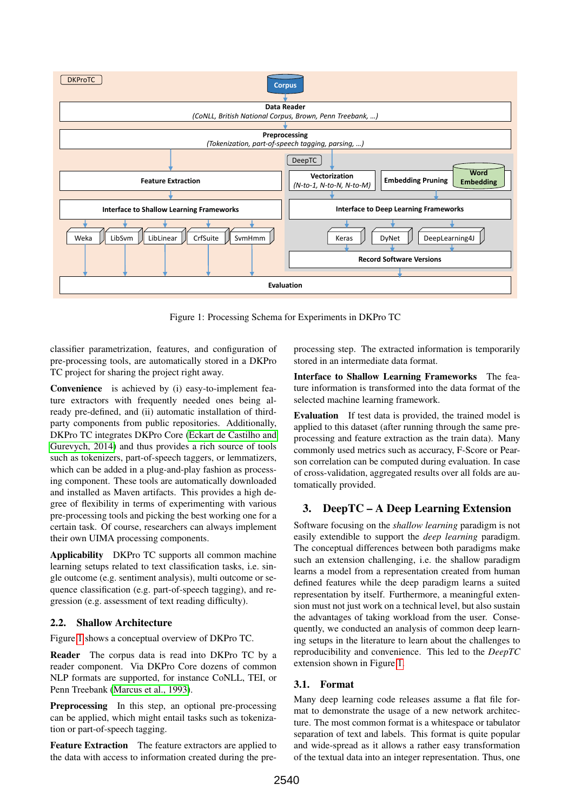<span id="page-1-0"></span>

Figure 1: Processing Schema for Experiments in DKPro TC

classifier parametrization, features, and configuration of pre-processing tools, are automatically stored in a DKPro TC project for sharing the project right away.

Convenience is achieved by (i) easy-to-implement feature extractors with frequently needed ones being already pre-defined, and (ii) automatic installation of thirdparty components from public repositories. Additionally, DKPro TC integrates DKPro Core [\(Eckart de Castilho and](#page-6-7) [Gurevych, 2014\)](#page-6-7) and thus provides a rich source of tools such as tokenizers, part-of-speech taggers, or lemmatizers, which can be added in a plug-and-play fashion as processing component. These tools are automatically downloaded and installed as Maven artifacts. This provides a high degree of flexibility in terms of experimenting with various pre-processing tools and picking the best working one for a certain task. Of course, researchers can always implement their own UIMA processing components.

Applicability DKPro TC supports all common machine learning setups related to text classification tasks, i.e. single outcome (e.g. sentiment analysis), multi outcome or sequence classification (e.g. part-of-speech tagging), and regression (e.g. assessment of text reading difficulty).

## 2.2. Shallow Architecture

Figure [1](#page-1-0) shows a conceptual overview of DKPro TC.

Reader The corpus data is read into DKPro TC by a reader component. Via DKPro Core dozens of common NLP formats are supported, for instance CoNLL, TEI, or Penn Treebank [\(Marcus et al., 1993\)](#page-6-8).

Preprocessing In this step, an optional pre-processing can be applied, which might entail tasks such as tokenization or part-of-speech tagging.

Feature Extraction The feature extractors are applied to the data with access to information created during the preprocessing step. The extracted information is temporarily stored in an intermediate data format.

Interface to Shallow Learning Frameworks The feature information is transformed into the data format of the selected machine learning framework.

Evaluation If test data is provided, the trained model is applied to this dataset (after running through the same preprocessing and feature extraction as the train data). Many commonly used metrics such as accuracy, F-Score or Pearson correlation can be computed during evaluation. In case of cross-validation, aggregated results over all folds are automatically provided.

# 3. DeepTC – A Deep Learning Extension

Software focusing on the *shallow learning* paradigm is not easily extendible to support the *deep learning* paradigm. The conceptual differences between both paradigms make such an extension challenging, i.e. the shallow paradigm learns a model from a representation created from human defined features while the deep paradigm learns a suited representation by itself. Furthermore, a meaningful extension must not just work on a technical level, but also sustain the advantages of taking workload from the user. Consequently, we conducted an analysis of common deep learning setups in the literature to learn about the challenges to reproducibility and convenience. This led to the *DeepTC* extension shown in Figure [1.](#page-1-0)

# 3.1. Format

Many deep learning code releases assume a flat file format to demonstrate the usage of a new network architecture. The most common format is a whitespace or tabulator separation of text and labels. This format is quite popular and wide-spread as it allows a rather easy transformation of the textual data into an integer representation. Thus, one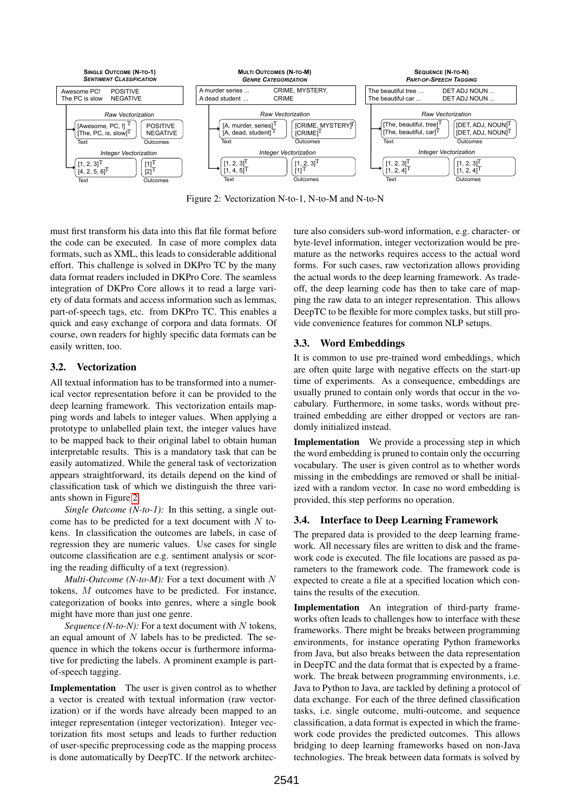<span id="page-2-0"></span>

Figure 2: Vectorization N-to-1, N-to-M and N-to-N

must first transform his data into this flat file format before the code can be executed. In case of more complex data formats, such as XML, this leads to considerable additional effort. This challenge is solved in DKPro TC by the many data format readers included in DKPro Core. The seamless integration of DKPro Core allows it to read a large variety of data formats and access information such as lemmas, part-of-speech tags, etc. from DKPro TC. This enables a quick and easy exchange of corpora and data formats. Of course, own readers for highly specific data formats can be easily written, too.

# 3.2. Vectorization

All textual information has to be transformed into a numerical vector representation before it can be provided to the deep learning framework. This vectorization entails mapping words and labels to integer values. When applying a prototype to unlabelled plain text, the integer values have to be mapped back to their original label to obtain human interpretable results. This is a mandatory task that can be easily automatized. While the general task of vectorization appears straightforward, its details depend on the kind of classification task of which we distinguish the three variants shown in Figure [2:](#page-2-0)

*Single Outcome (N-to-1):* In this setting, a single outcome has to be predicted for a text document with  $N$  tokens. In classification the outcomes are labels, in case of regression they are numeric values. Use cases for single outcome classification are e.g. sentiment analysis or scoring the reading difficulty of a text (regression).

*Multi-Outcome (N-to-M):* For a text document with N tokens, M outcomes have to be predicted. For instance, categorization of books into genres, where a single book might have more than just one genre.

*Sequence* (*N-to-N*): For a text document with  $N$  tokens, an equal amount of  $N$  labels has to be predicted. The sequence in which the tokens occur is furthermore informative for predicting the labels. A prominent example is partof-speech tagging.

Implementation The user is given control as to whether a vector is created with textual information (raw vectorization) or if the words have already been mapped to an integer representation (integer vectorization). Integer vectorization fits most setups and leads to further reduction of user-specific preprocessing code as the mapping process is done automatically by DeepTC. If the network architecture also considers sub-word information, e.g. character- or byte-level information, integer vectorization would be premature as the networks requires access to the actual word forms. For such cases, raw vectorization allows providing the actual words to the deep learning framework. As tradeoff, the deep learning code has then to take care of mapping the raw data to an integer representation. This allows DeepTC to be flexible for more complex tasks, but still provide convenience features for common NLP setups.

# 3.3. Word Embeddings

It is common to use pre-trained word embeddings, which are often quite large with negative effects on the start-up time of experiments. As a consequence, embeddings are usually pruned to contain only words that occur in the vocabulary. Furthermore, in some tasks, words without pretrained embedding are either dropped or vectors are randomly initialized instead.

Implementation We provide a processing step in which the word embedding is pruned to contain only the occurring vocabulary. The user is given control as to whether words missing in the embeddings are removed or shall be initialized with a random vector. In case no word embedding is provided, this step performs no operation.

# 3.4. Interface to Deep Learning Framework

The prepared data is provided to the deep learning framework. All necessary files are written to disk and the framework code is executed. The file locations are passed as parameters to the framework code. The framework code is expected to create a file at a specified location which contains the results of the execution.

Implementation An integration of third-party frameworks often leads to challenges how to interface with these frameworks. There might be breaks between programming environments, for instance operating Python frameworks from Java, but also breaks between the data representation in DeepTC and the data format that is expected by a framework. The break between programming environments, i.e. Java to Python to Java, are tackled by defining a protocol of data exchange. For each of the three defined classification tasks, i.e. single outcome, multi-outcome, and sequence classification, a data format is expected in which the framework code provides the predicted outcomes. This allows bridging to deep learning frameworks based on non-Java technologies. The break between data formats is solved by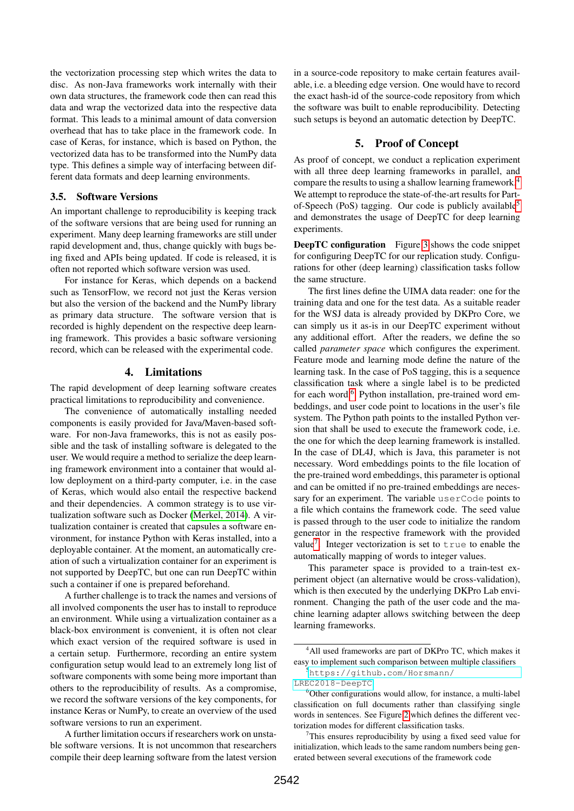the vectorization processing step which writes the data to disc. As non-Java frameworks work internally with their own data structures, the framework code then can read this data and wrap the vectorized data into the respective data format. This leads to a minimal amount of data conversion overhead that has to take place in the framework code. In case of Keras, for instance, which is based on Python, the vectorized data has to be transformed into the NumPy data type. This defines a simple way of interfacing between different data formats and deep learning environments.

#### 3.5. Software Versions

An important challenge to reproducibility is keeping track of the software versions that are being used for running an experiment. Many deep learning frameworks are still under rapid development and, thus, change quickly with bugs being fixed and APIs being updated. If code is released, it is often not reported which software version was used.

For instance for Keras, which depends on a backend such as TensorFlow, we record not just the Keras version but also the version of the backend and the NumPy library as primary data structure. The software version that is recorded is highly dependent on the respective deep learning framework. This provides a basic software versioning record, which can be released with the experimental code.

### 4. Limitations

The rapid development of deep learning software creates practical limitations to reproducibility and convenience.

The convenience of automatically installing needed components is easily provided for Java/Maven-based software. For non-Java frameworks, this is not as easily possible and the task of installing software is delegated to the user. We would require a method to serialize the deep learning framework environment into a container that would allow deployment on a third-party computer, i.e. in the case of Keras, which would also entail the respective backend and their dependencies. A common strategy is to use virtualization software such as Docker [\(Merkel, 2014\)](#page-6-9). A virtualization container is created that capsules a software environment, for instance Python with Keras installed, into a deployable container. At the moment, an automatically creation of such a virtualization container for an experiment is not supported by DeepTC, but one can run DeepTC within such a container if one is prepared beforehand.

A further challenge is to track the names and versions of all involved components the user has to install to reproduce an environment. While using a virtualization container as a black-box environment is convenient, it is often not clear which exact version of the required software is used in a certain setup. Furthermore, recording an entire system configuration setup would lead to an extremely long list of software components with some being more important than others to the reproducibility of results. As a compromise, we record the software versions of the key components, for instance Keras or NumPy, to create an overview of the used software versions to run an experiment.

A further limitation occurs if researchers work on unstable software versions. It is not uncommon that researchers compile their deep learning software from the latest version in a source-code repository to make certain features available, i.e. a bleeding edge version. One would have to record the exact hash-id of the source-code repository from which the software was built to enable reproducibility. Detecting such setups is beyond an automatic detection by DeepTC.

# 5. Proof of Concept

As proof of concept, we conduct a replication experiment with all three deep learning frameworks in parallel, and compare the results to using a shallow learning framework.[4](#page-3-0) We attempt to reproduce the state-of-the-art results for Part-of-Speech (PoS) tagging. Our code is publicly available<sup>[5](#page-3-1)</sup> and demonstrates the usage of DeepTC for deep learning experiments.

**DeepTC configuration** Figure [3](#page-4-0) shows the code snippet for configuring DeepTC for our replication study. Configurations for other (deep learning) classification tasks follow the same structure.

The first lines define the UIMA data reader: one for the training data and one for the test data. As a suitable reader for the WSJ data is already provided by DKPro Core, we can simply us it as-is in our DeepTC experiment without any additional effort. After the readers, we define the so called *parameter space* which configures the experiment. Feature mode and learning mode define the nature of the learning task. In the case of PoS tagging, this is a sequence classification task where a single label is to be predicted for each word.<sup>[6](#page-3-2)</sup> Python installation, pre-trained word embeddings, and user code point to locations in the user's file system. The Python path points to the installed Python version that shall be used to execute the framework code, i.e. the one for which the deep learning framework is installed. In the case of DL4J, which is Java, this parameter is not necessary. Word embeddings points to the file location of the pre-trained word embeddings, this parameter is optional and can be omitted if no pre-trained embeddings are necessary for an experiment. The variable userCode points to a file which contains the framework code. The seed value is passed through to the user code to initialize the random generator in the respective framework with the provided value<sup>[7](#page-3-3)</sup>. Integer vectorization is set to  $true$  to enable the automatically mapping of words to integer values.

This parameter space is provided to a train-test experiment object (an alternative would be cross-validation), which is then executed by the underlying DKPro Lab environment. Changing the path of the user code and the machine learning adapter allows switching between the deep learning frameworks.

<span id="page-3-0"></span><sup>&</sup>lt;sup>4</sup>All used frameworks are part of DKPro TC, which makes it easy to implement such comparison between multiple classifiers

<span id="page-3-1"></span><sup>5</sup>[https://github.com/Horsmann/](https://github.com/Horsmann/LREC2018-DeepTC) [LREC2018-DeepTC](https://github.com/Horsmann/LREC2018-DeepTC)

<span id="page-3-2"></span><sup>&</sup>lt;sup>6</sup>Other configurations would allow, for instance, a multi-label classification on full documents rather than classifying single words in sentences. See Figure [2](#page-2-0) which defines the different vectorization modes for different classification tasks.

<span id="page-3-3"></span> $7$ This ensures reproducibility by using a fixed seed value for initialization, which leads to the same random numbers being generated between several executions of the framework code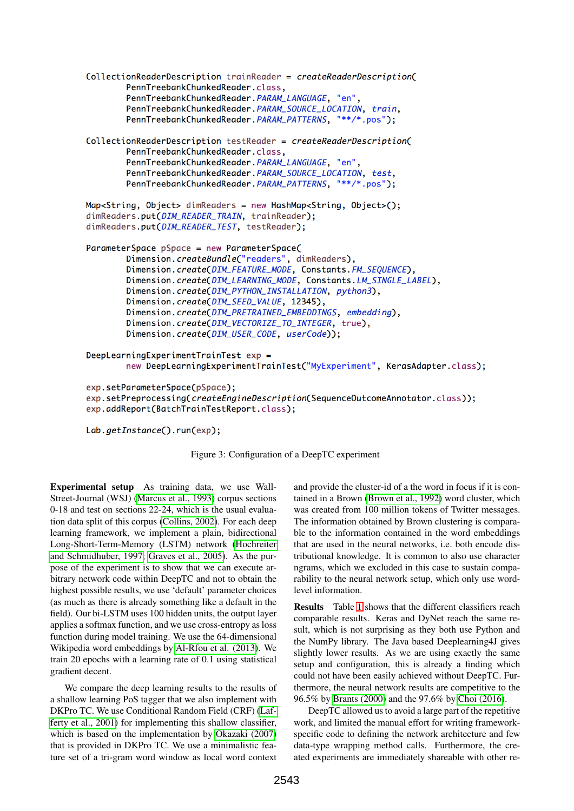```
CollectionReaderDescription trainReader = createReaderDescription(
        PennTreebankChunkedReader.class,
        PennTreebankChunkedReader. PARAM_LANGUAGE, "en",
        PennTreebankChunkedReader. PARAM_SOURCE_LOCATION, train,
        PennTreebankChunkedReader. PARAM_PATTERNS, "**/*.pos");
CollectionReaderDescription testReader = createReaderDescription(
        PennTreebankChunkedReader.class,
        PennTreebankChunkedReader. PARAM_LANGUAGE, "en",
        PennTreebankChunkedReader. PARAM_SOURCE_LOCATION, test,
        PennTreebankChunkedReader. PARAM_PATTERNS, "**/*.pos");
Map<String, Object> dimReaders = new HashMap<String, Object>();
dimReaders.put(DIM_READER_TRAIN, trainReader);
dimReaders.put(DIM_READER_TEST, testReader);
ParameterSpace pSpace = new ParameterSpace(
        Dimension.createBundle("readers", dimReaders),
        Dimension.create(DIM_FEATURE_MODE, Constants.FM_SEQUENCE),
        Dimension.create(DIM_LEARNING_MODE, Constants.LM_SINGLE_LABEL),
        Dimension.create(DIM_PYTHON_INSTALLATION, python3),
        Dimension.create(DIM_SEED_VALUE, 12345),
        Dimension.create(DIM_PRETRAINED_EMBEDDINGS, embedding),
        Dimension.create(DIM_VECTORIZE_TO_INTEGER, true),
        Dimension.create(DIM_USER_CODE, userCode));
DeepLearningExperimentTrainTest exp =
        new DeepLearningExperimentTrainTest("MyExperiment", KerasAdapter.class);
exp.setParameterSpace(pSpace);
exp.setPreprocessing(createEngineDescription(SequenceOutcomeAnnotator.class));
exp.addReport(BatchTrainTestReport.class);
Lab.getInstance().run(exp);
```
Figure 3: Configuration of a DeepTC experiment

Experimental setup As training data, we use Wall-Street-Journal (WSJ) [\(Marcus et al., 1993\)](#page-6-8) corpus sections 0-18 and test on sections 22-24, which is the usual evaluation data split of this corpus [\(Collins, 2002\)](#page-5-2). For each deep learning framework, we implement a plain, bidirectional Long-Short-Term-Memory (LSTM) network [\(Hochreiter](#page-6-10) [and Schmidhuber, 1997;](#page-6-10) [Graves et al., 2005\)](#page-6-11). As the purpose of the experiment is to show that we can execute arbitrary network code within DeepTC and not to obtain the highest possible results, we use 'default' parameter choices (as much as there is already something like a default in the field). Our bi-LSTM uses 100 hidden units, the output layer applies a softmax function, and we use cross-entropy as loss function during model training. We use the 64-dimensional Wikipedia word embeddings by [Al-Rfou et al. \(2013\)](#page-5-3). We train 20 epochs with a learning rate of 0.1 using statistical gradient decent.

We compare the deep learning results to the results of a shallow learning PoS tagger that we also implement with DKPro TC. We use Conditional Random Field (CRF) [\(Laf](#page-6-12)[ferty et al., 2001\)](#page-6-12) for implementing this shallow classifier, which is based on the implementation by [Okazaki \(2007\)](#page-6-6) that is provided in DKPro TC. We use a minimalistic feature set of a tri-gram word window as local word context

and provide the cluster-id of a the word in focus if it is contained in a Brown [\(Brown et al., 1992\)](#page-5-4) word cluster, which was created from 100 million tokens of Twitter messages. The information obtained by Brown clustering is comparable to the information contained in the word embeddings that are used in the neural networks, i.e. both encode distributional knowledge. It is common to also use character ngrams, which we excluded in this case to sustain comparability to the neural network setup, which only use wordlevel information.

Results Table [1](#page-5-5) shows that the different classifiers reach comparable results. Keras and DyNet reach the same result, which is not surprising as they both use Python and the NumPy library. The Java based Deeplearning4J gives slightly lower results. As we are using exactly the same setup and configuration, this is already a finding which could not have been easily achieved without DeepTC. Furthermore, the neural network results are competitive to the 96.5% by [Brants \(2000\)](#page-5-6) and the 97.6% by [Choi \(2016\)](#page-5-7).

DeepTC allowed us to avoid a large part of the repetitive work, and limited the manual effort for writing frameworkspecific code to defining the network architecture and few data-type wrapping method calls. Furthermore, the created experiments are immediately shareable with other re-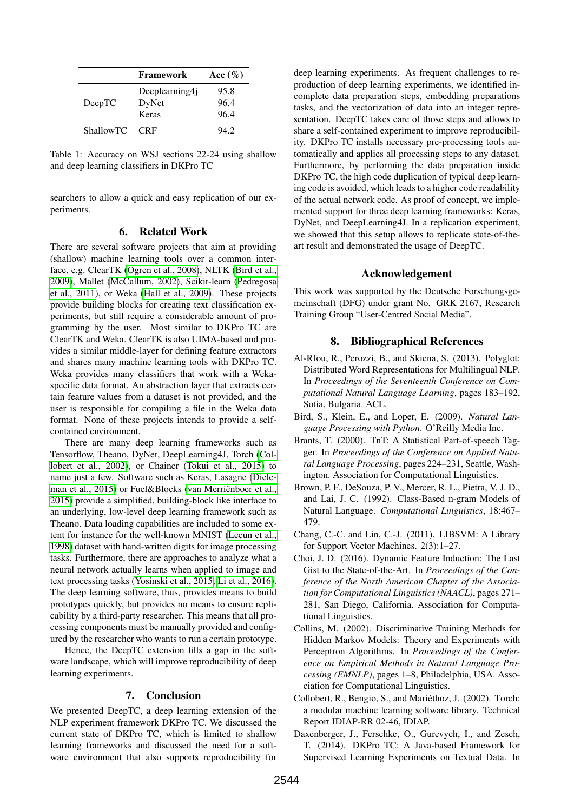<span id="page-5-5"></span>

|                  | <b>Framework</b> | Acc $(\%)$ |
|------------------|------------------|------------|
| DeepTC           | Deeplearning4j   | 95.8       |
|                  | DyNet            | 96.4       |
|                  | Keras            | 96.4       |
| <b>ShallowTC</b> | <b>CRF</b>       | 942        |

Table 1: Accuracy on WSJ sections 22-24 using shallow and deep learning classifiers in DKPro TC

searchers to allow a quick and easy replication of our experiments.

#### 6. Related Work

There are several software projects that aim at providing (shallow) machine learning tools over a common interface, e.g. ClearTK [\(Ogren et al., 2008\)](#page-6-13), NLTK [\(Bird et al.,](#page-5-8) [2009\)](#page-5-8), Mallet [\(McCallum, 2002\)](#page-6-14), Scikit-learn [\(Pedregosa](#page-6-15) [et al., 2011\)](#page-6-15), or Weka [\(Hall et al., 2009\)](#page-6-3). These projects provide building blocks for creating text classification experiments, but still require a considerable amount of programming by the user. Most similar to DKPro TC are ClearTK and Weka. ClearTK is also UIMA-based and provides a similar middle-layer for defining feature extractors and shares many machine learning tools with DKPro TC. Weka provides many classifiers that work with a Wekaspecific data format. An abstraction layer that extracts certain feature values from a dataset is not provided, and the user is responsible for compiling a file in the Weka data format. None of these projects intends to provide a selfcontained environment.

There are many deep learning frameworks such as Tensorflow, Theano, DyNet, DeepLearning4J, Torch [\(Col](#page-5-9)[lobert et al., 2002\)](#page-5-9), or Chainer [\(Tokui et al., 2015\)](#page-6-16) to name just a few. Software such as Keras, Lasagne [\(Diele](#page-6-17)[man et al., 2015\)](#page-6-17) or Fuel&Blocks (van Merriënboer et al., [2015\)](#page-6-18) provide a simplified, building-block like interface to an underlying, low-level deep learning framework such as Theano. Data loading capabilities are included to some extent for instance for the well-known MNIST [\(Lecun et al.,](#page-6-19) [1998\)](#page-6-19) dataset with hand-written digits for image processing tasks. Furthermore, there are approaches to analyze what a neural network actually learns when applied to image and text processing tasks [\(Yosinski et al., 2015;](#page-6-20) [Li et al., 2016\)](#page-6-21). The deep learning software, thus, provides means to build prototypes quickly, but provides no means to ensure replicability by a third-party researcher. This means that all processing components must be manually provided and configured by the researcher who wants to run a certain prototype.

Hence, the DeepTC extension fills a gap in the software landscape, which will improve reproducibility of deep learning experiments.

### 7. Conclusion

We presented DeepTC, a deep learning extension of the NLP experiment framework DKPro TC. We discussed the current state of DKPro TC, which is limited to shallow learning frameworks and discussed the need for a software environment that also supports reproducibility for deep learning experiments. As frequent challenges to reproduction of deep learning experiments, we identified incomplete data preparation steps, embedding preparations tasks, and the vectorization of data into an integer representation. DeepTC takes care of those steps and allows to share a self-contained experiment to improve reproducibility. DKPro TC installs necessary pre-processing tools automatically and applies all processing steps to any dataset. Furthermore, by performing the data preparation inside DKPro TC, the high code duplication of typical deep learning code is avoided, which leads to a higher code readability of the actual network code. As proof of concept, we implemented support for three deep learning frameworks: Keras, DyNet, and DeepLearning4J. In a replication experiment, we showed that this setup allows to replicate state-of-theart result and demonstrated the usage of DeepTC.

### Acknowledgement

This work was supported by the Deutsche Forschungsgemeinschaft (DFG) under grant No. GRK 2167, Research Training Group "User-Centred Social Media".

# 8. Bibliographical References

- <span id="page-5-3"></span>Al-Rfou, R., Perozzi, B., and Skiena, S. (2013). Polyglot: Distributed Word Representations for Multilingual NLP. In *Proceedings of the Seventeenth Conference on Computational Natural Language Learning*, pages 183–192, Sofia, Bulgaria. ACL.
- <span id="page-5-8"></span>Bird, S., Klein, E., and Loper, E. (2009). *Natural Language Processing with Python*. O'Reilly Media Inc.
- <span id="page-5-6"></span>Brants, T. (2000). TnT: A Statistical Part-of-speech Tagger. In *Proceedings of the Conference on Applied Natural Language Processing*, pages 224–231, Seattle, Washington. Association for Computational Linguistics.
- <span id="page-5-4"></span>Brown, P. F., DeSouza, P. V., Mercer, R. L., Pietra, V. J. D., and Lai, J. C. (1992). Class-Based n-gram Models of Natural Language. *Computational Linguistics*, 18:467– 479.
- <span id="page-5-1"></span>Chang, C.-C. and Lin, C.-J. (2011). LIBSVM: A Library for Support Vector Machines. 2(3):1–27.
- <span id="page-5-7"></span>Choi, J. D. (2016). Dynamic Feature Induction: The Last Gist to the State-of-the-Art. In *Proceedings of the Conference of the North American Chapter of the Association for Computational Linguistics (NAACL)*, pages 271– 281, San Diego, California. Association for Computational Linguistics.
- <span id="page-5-2"></span>Collins, M. (2002). Discriminative Training Methods for Hidden Markov Models: Theory and Experiments with Perceptron Algorithms. In *Proceedings of the Conference on Empirical Methods in Natural Language Processing (EMNLP)*, pages 1–8, Philadelphia, USA. Association for Computational Linguistics.
- <span id="page-5-9"></span>Collobert, R., Bengio, S., and Mariethoz, J. (2002). Torch: ´ a modular machine learning software library. Technical Report IDIAP-RR 02-46, IDIAP.
- <span id="page-5-0"></span>Daxenberger, J., Ferschke, O., Gurevych, I., and Zesch, T. (2014). DKPro TC: A Java-based Framework for Supervised Learning Experiments on Textual Data. In